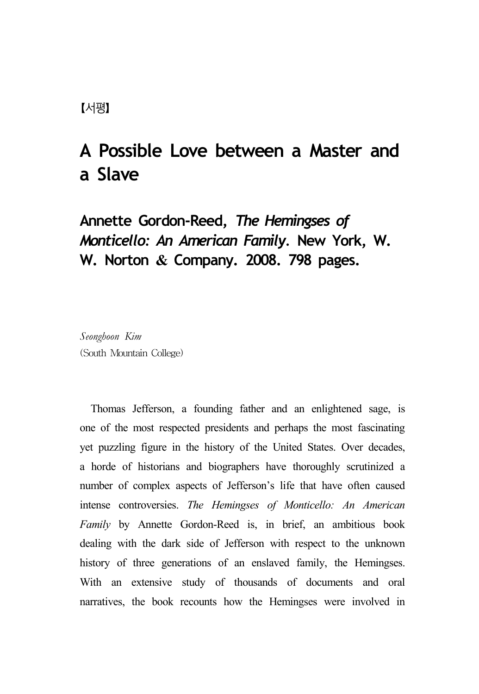# **A Possible Love between a Master and a Slave**

**Annette Gordon-Reed,** *The Hemingses of Monticello: An American Family.* **New York, W. W. Norton & Company. 2008. 798 pages.**

*Seonghoon Kim* (South Mountain College)

Thomas Jefferson, a founding father and an enlightened sage, is one of the most respected presidents and perhaps the most fascinating yet puzzling figure in the history of the United States. Over decades, a horde of historians and biographers have thoroughly scrutinized a number of complex aspects of Jefferson's life that have often caused intense controversies. *The Hemingses of Monticello: An American Family* by Annette Gordon-Reed is, in brief, an ambitious book dealing with the dark side of Jefferson with respect to the unknown history of three generations of an enslaved family, the Hemingses. With an extensive study of thousands of documents and oral narratives, the book recounts how the Hemingses were involved in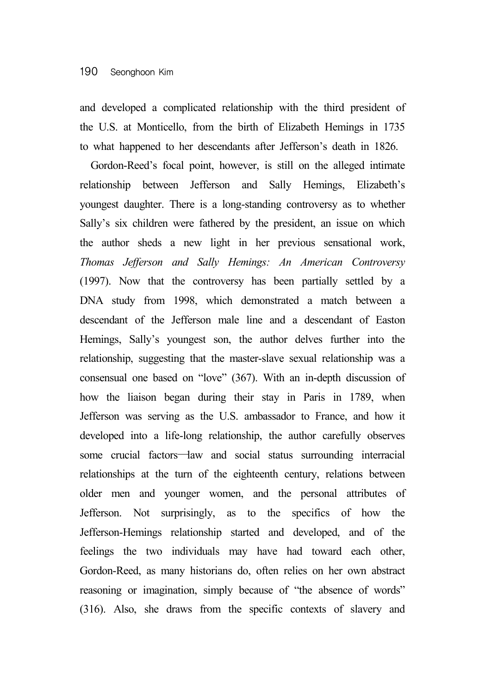and developed a complicated relationship with the third president of the U.S. at Monticello, from the birth of Elizabeth Hemings in 1735 to what happened to her descendants after Jefferson's death in 1826.

Gordon-Reed's focal point, however, is still on the alleged intimate relationship between Jefferson and Sally Hemings, Elizabeth's youngest daughter. There is a long-standing controversy as to whether Sally's six children were fathered by the president, an issue on which the author sheds a new light in her previous sensational work, *Thomas Jefferson and Sally Hemings: An American Controversy* (1997). Now that the controversy has been partially settled by a DNA study from 1998, which demonstrated a match between a descendant of the Jefferson male line and a descendant of Easton Hemings, Sally's youngest son, the author delves further into the relationship, suggesting that the master-slave sexual relationship was a consensual one based on "love" (367). With an in-depth discussion of how the liaison began during their stay in Paris in 1789, when Jefferson was serving as the U.S. ambassador to France, and how it developed into a life-long relationship, the author carefully observes some crucial factors—law and social status surrounding interracial relationships at the turn of the eighteenth century, relations between older men and younger women, and the personal attributes of Jefferson. Not surprisingly, as to the specifics of how the Jefferson-Hemings relationship started and developed, and of the feelings the two individuals may have had toward each other, Gordon-Reed, as many historians do, often relies on her own abstract reasoning or imagination, simply because of "the absence of words" (316). Also, she draws from the specific contexts of slavery and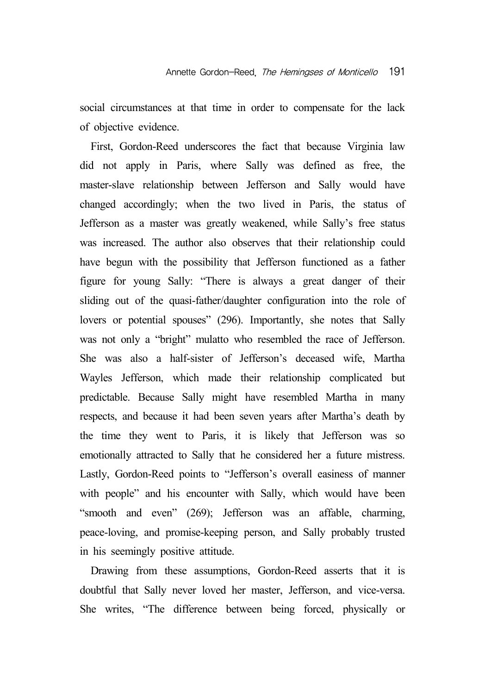social circumstances at that time in order to compensate for the lack of objective evidence.

First, Gordon-Reed underscores the fact that because Virginia law did not apply in Paris, where Sally was defined as free, the master-slave relationship between Jefferson and Sally would have changed accordingly; when the two lived in Paris, the status of Jefferson as a master was greatly weakened, while Sally's free status was increased. The author also observes that their relationship could have begun with the possibility that Jefferson functioned as a father figure for young Sally: "There is always a great danger of their sliding out of the quasi-father/daughter configuration into the role of lovers or potential spouses" (296). Importantly, she notes that Sally was not only a "bright" mulatto who resembled the race of Jefferson. She was also a half-sister of Jefferson's deceased wife, Martha Wayles Jefferson, which made their relationship complicated but predictable. Because Sally might have resembled Martha in many respects, and because it had been seven years after Martha's death by the time they went to Paris, it is likely that Jefferson was so emotionally attracted to Sally that he considered her a future mistress. Lastly, Gordon-Reed points to "Jefferson's overall easiness of manner with people" and his encounter with Sally, which would have been "smooth and even" (269); Jefferson was an affable, charming, peace-loving, and promise-keeping person, and Sally probably trusted in his seemingly positive attitude.

Drawing from these assumptions, Gordon-Reed asserts that it is doubtful that Sally never loved her master, Jefferson, and vice-versa. She writes, "The difference between being forced, physically or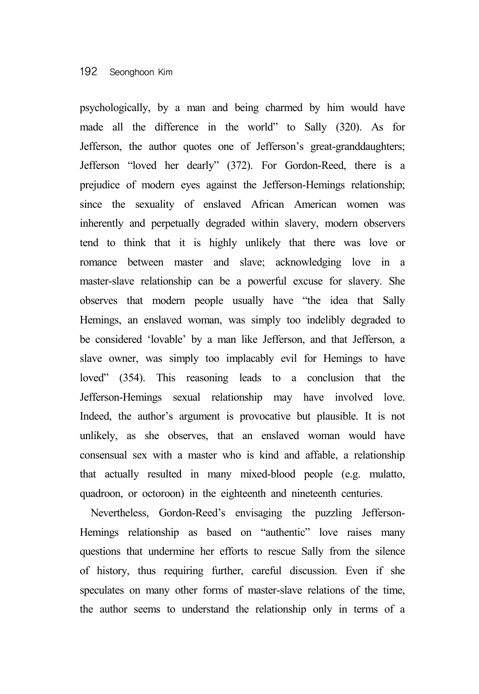# 192 Seonghoon Kim

psychologically, by a man and being charmed by him would have made all the difference in the world" to Sally (320). As for Jefferson, the author quotes one of Jefferson's great-granddaughters; Jefferson "loved her dearly" (372). For Gordon-Reed, there is a prejudice of modern eyes against the Jefferson-Hemings relationship; since the sexuality of enslaved African American women was inherently and perpetually degraded within slavery, modern observers tend to think that it is highly unlikely that there was love or romance between master and slave; acknowledging love in a master-slave relationship can be a powerful excuse for slavery. She observes that modern people usually have "the idea that Sally Hemings, an enslaved woman, was simply too indelibly degraded to be considered 'lovable' by a man like Jefferson, and that Jefferson, a slave owner, was simply too implacably evil for Hemings to have loved" (354). This reasoning leads to a conclusion that the Jefferson-Hemings sexual relationship may have involved love. Indeed, the author's argument is provocative but plausible. It is not unlikely, as she observes, that an enslaved woman would have consensual sex with a master who is kind and affable, a relationship that actually resulted in many mixed-blood people (e.g. mulatto, quadroon, or octoroon) in the eighteenth and nineteenth centuries.

Nevertheless, Gordon-Reed's envisaging the puzzling Jefferson-Hemings relationship as based on "authentic" love raises many questions that undermine her efforts to rescue Sally from the silence of history, thus requiring further, careful discussion. Even if she speculates on many other forms of master-slave relations of the time, the author seems to understand the relationship only in terms of a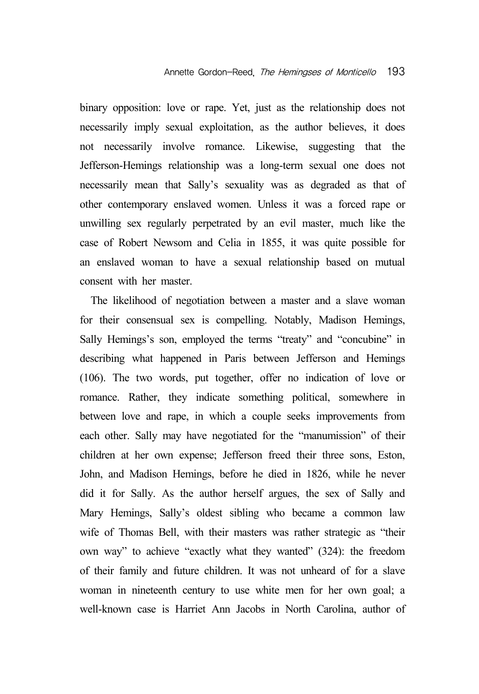binary opposition: love or rape. Yet, just as the relationship does not necessarily imply sexual exploitation, as the author believes, it does not necessarily involve romance. Likewise, suggesting that the Jefferson-Hemings relationship was a long-term sexual one does not necessarily mean that Sally's sexuality was as degraded as that of other contemporary enslaved women. Unless it was a forced rape or unwilling sex regularly perpetrated by an evil master, much like the case of Robert Newsom and Celia in 1855, it was quite possible for an enslaved woman to have a sexual relationship based on mutual consent with her master.

The likelihood of negotiation between a master and a slave woman for their consensual sex is compelling. Notably, Madison Hemings, Sally Hemings's son, employed the terms "treaty" and "concubine" in describing what happened in Paris between Jefferson and Hemings (106). The two words, put together, offer no indication of love or romance. Rather, they indicate something political, somewhere in between love and rape, in which a couple seeks improvements from each other. Sally may have negotiated for the "manumission" of their children at her own expense; Jefferson freed their three sons, Eston, John, and Madison Hemings, before he died in 1826, while he never did it for Sally. As the author herself argues, the sex of Sally and Mary Hemings, Sally's oldest sibling who became a common law wife of Thomas Bell, with their masters was rather strategic as "their own way" to achieve "exactly what they wanted" (324): the freedom of their family and future children. It was not unheard of for a slave woman in nineteenth century to use white men for her own goal; a well-known case is Harriet Ann Jacobs in North Carolina, author of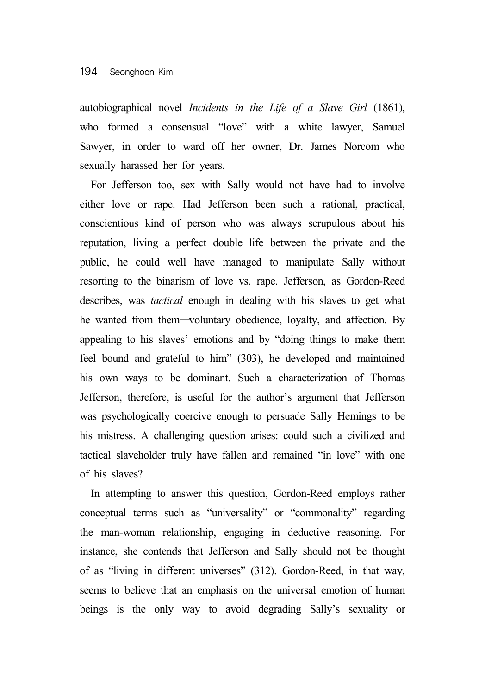autobiographical novel *Incidents in the Life of a Slave Girl* (1861), who formed a consensual "love" with a white lawyer, Samuel Sawyer, in order to ward off her owner, Dr. James Norcom who sexually harassed her for years.

For Jefferson too, sex with Sally would not have had to involve either love or rape. Had Jefferson been such a rational, practical, conscientious kind of person who was always scrupulous about his reputation, living a perfect double life between the private and the public, he could well have managed to manipulate Sally without resorting to the binarism of love vs. rape. Jefferson, as Gordon-Reed describes, was *tactical* enough in dealing with his slaves to get what he wanted from them—voluntary obedience, loyalty, and affection. By appealing to his slaves' emotions and by "doing things to make them feel bound and grateful to him" (303), he developed and maintained his own ways to be dominant. Such a characterization of Thomas Jefferson, therefore, is useful for the author's argument that Jefferson was psychologically coercive enough to persuade Sally Hemings to be his mistress. A challenging question arises: could such a civilized and tactical slaveholder truly have fallen and remained "in love" with one of his slaves?

In attempting to answer this question, Gordon-Reed employs rather conceptual terms such as "universality" or "commonality" regarding the man-woman relationship, engaging in deductive reasoning. For instance, she contends that Jefferson and Sally should not be thought of as "living in different universes" (312). Gordon-Reed, in that way, seems to believe that an emphasis on the universal emotion of human beings is the only way to avoid degrading Sally's sexuality or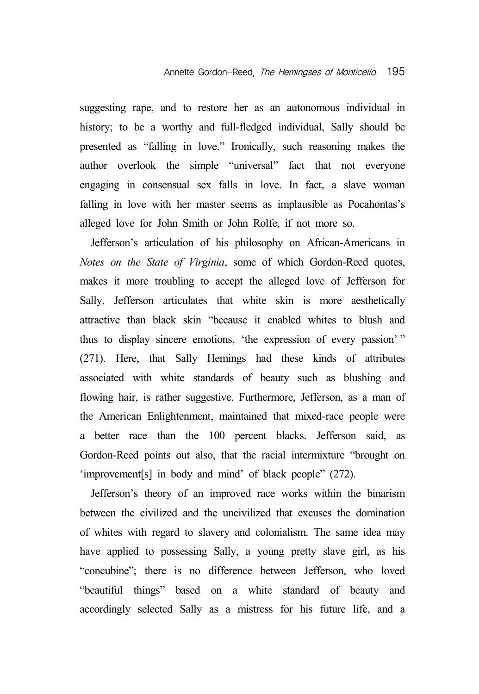suggesting rape, and to restore her as an autonomous individual in history; to be a worthy and full-fledged individual, Sally should be presented as "falling in love." Ironically, such reasoning makes the author overlook the simple "universal" fact that not everyone engaging in consensual sex falls in love. In fact, a slave woman falling in love with her master seems as implausible as Pocahontas's alleged love for John Smith or John Rolfe, if not more so.

Jefferson's articulation of his philosophy on African-Americans in *Notes on the State of Virginia*, some of which Gordon-Reed quotes, makes it more troubling to accept the alleged love of Jefferson for Sally. Jefferson articulates that white skin is more aesthetically attractive than black skin "because it enabled whites to blush and thus to display sincere emotions, 'the expression of every passion' " (271). Here, that Sally Hemings had these kinds of attributes associated with white standards of beauty such as blushing and flowing hair, is rather suggestive. Furthermore, Jefferson, as a man of the American Enlightenment, maintained that mixed-race people were a better race than the 100 percent blacks. Jefferson said, as Gordon-Reed points out also, that the racial intermixture "brought on 'improvement[s] in body and mind' of black people" (272).

Jefferson's theory of an improved race works within the binarism between the civilized and the uncivilized that excuses the domination of whites with regard to slavery and colonialism. The same idea may have applied to possessing Sally, a young pretty slave girl, as his "concubine"; there is no difference between Jefferson, who loved "beautiful things" based on a white standard of beauty and accordingly selected Sally as a mistress for his future life, and a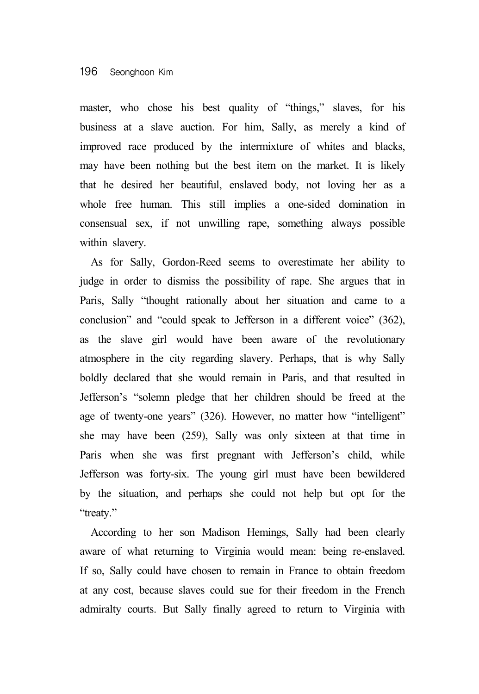master, who chose his best quality of "things," slaves, for his business at a slave auction. For him, Sally, as merely a kind of improved race produced by the intermixture of whites and blacks, may have been nothing but the best item on the market. It is likely that he desired her beautiful, enslaved body, not loving her as a whole free human. This still implies a one-sided domination in consensual sex, if not unwilling rape, something always possible within slavery.

As for Sally, Gordon-Reed seems to overestimate her ability to judge in order to dismiss the possibility of rape. She argues that in Paris, Sally "thought rationally about her situation and came to a conclusion" and "could speak to Jefferson in a different voice" (362), as the slave girl would have been aware of the revolutionary atmosphere in the city regarding slavery. Perhaps, that is why Sally boldly declared that she would remain in Paris, and that resulted in Jefferson's "solemn pledge that her children should be freed at the age of twenty-one years" (326). However, no matter how "intelligent" she may have been (259), Sally was only sixteen at that time in Paris when she was first pregnant with Jefferson's child, while Jefferson was forty-six. The young girl must have been bewildered by the situation, and perhaps she could not help but opt for the "treaty."

According to her son Madison Hemings, Sally had been clearly aware of what returning to Virginia would mean: being re-enslaved. If so, Sally could have chosen to remain in France to obtain freedom at any cost, because slaves could sue for their freedom in the French admiralty courts. But Sally finally agreed to return to Virginia with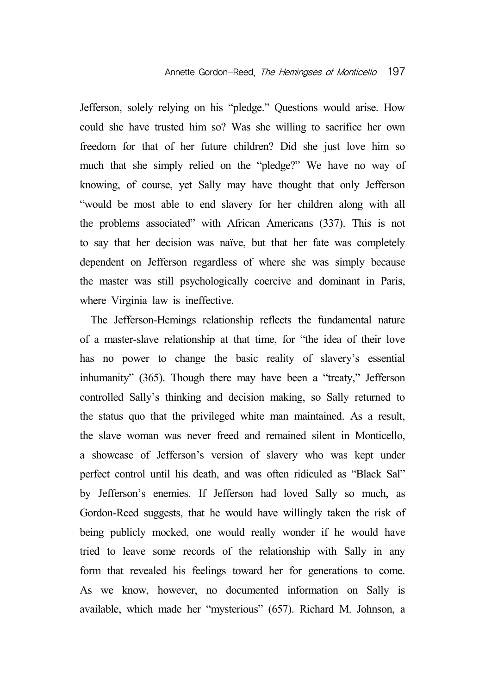Jefferson, solely relying on his "pledge." Questions would arise. How could she have trusted him so? Was she willing to sacrifice her own freedom for that of her future children? Did she just love him so much that she simply relied on the "pledge?" We have no way of knowing, of course, yet Sally may have thought that only Jefferson "would be most able to end slavery for her children along with all the problems associated" with African Americans (337). This is not to say that her decision was naïve, but that her fate was completely dependent on Jefferson regardless of where she was simply because the master was still psychologically coercive and dominant in Paris, where Virginia law is ineffective.

The Jefferson-Hemings relationship reflects the fundamental nature of a master-slave relationship at that time, for "the idea of their love has no power to change the basic reality of slavery's essential inhumanity" (365). Though there may have been a "treaty," Jefferson controlled Sally's thinking and decision making, so Sally returned to the status quo that the privileged white man maintained. As a result, the slave woman was never freed and remained silent in Monticello, a showcase of Jefferson's version of slavery who was kept under perfect control until his death, and was often ridiculed as "Black Sal" by Jefferson's enemies. If Jefferson had loved Sally so much, as Gordon-Reed suggests, that he would have willingly taken the risk of being publicly mocked, one would really wonder if he would have tried to leave some records of the relationship with Sally in any form that revealed his feelings toward her for generations to come. As we know, however, no documented information on Sally is available, which made her "mysterious" (657). Richard M. Johnson, a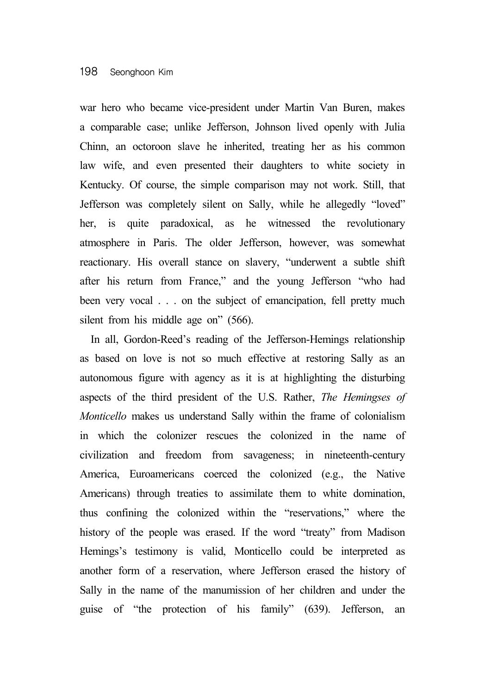## 198 Seonghoon Kim

war hero who became vice-president under Martin Van Buren, makes a comparable case; unlike Jefferson, Johnson lived openly with Julia Chinn, an octoroon slave he inherited, treating her as his common law wife, and even presented their daughters to white society in Kentucky. Of course, the simple comparison may not work. Still, that Jefferson was completely silent on Sally, while he allegedly "loved" her, is quite paradoxical, as he witnessed the revolutionary atmosphere in Paris. The older Jefferson, however, was somewhat reactionary. His overall stance on slavery, "underwent a subtle shift after his return from France," and the young Jefferson "who had been very vocal . . . on the subject of emancipation, fell pretty much silent from his middle age on" (566).

In all, Gordon-Reed's reading of the Jefferson-Hemings relationship as based on love is not so much effective at restoring Sally as an autonomous figure with agency as it is at highlighting the disturbing aspects of the third president of the U.S. Rather, *The Hemingses of Monticello* makes us understand Sally within the frame of colonialism in which the colonizer rescues the colonized in the name of civilization and freedom from savageness; in nineteenth-century America, Euroamericans coerced the colonized (e.g., the Native Americans) through treaties to assimilate them to white domination, thus confining the colonized within the "reservations," where the history of the people was erased. If the word "treaty" from Madison Hemings's testimony is valid, Monticello could be interpreted as another form of a reservation, where Jefferson erased the history of Sally in the name of the manumission of her children and under the guise of "the protection of his family" (639). Jefferson, an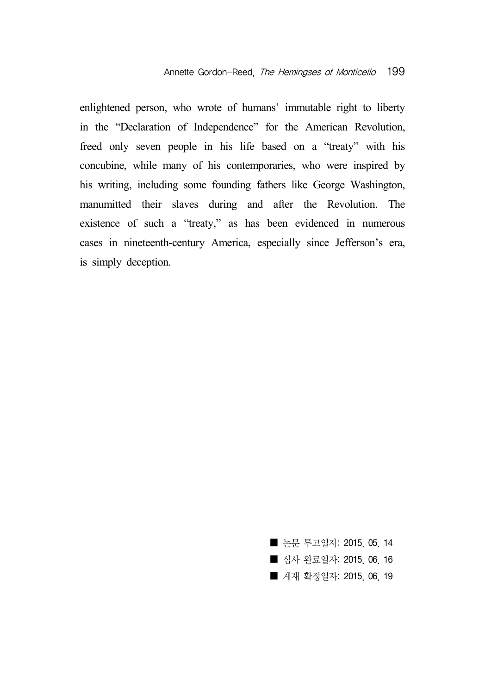enlightened person, who wrote of humans' immutable right to liberty in the "Declaration of Independence" for the American Revolution, freed only seven people in his life based on a "treaty" with his concubine, while many of his contemporaries, who were inspired by his writing, including some founding fathers like George Washington, manumitted their slaves during and after the Revolution. The existence of such a "treaty," as has been evidenced in numerous cases in nineteenth-century America, especially since Jefferson's era, is simply deception.